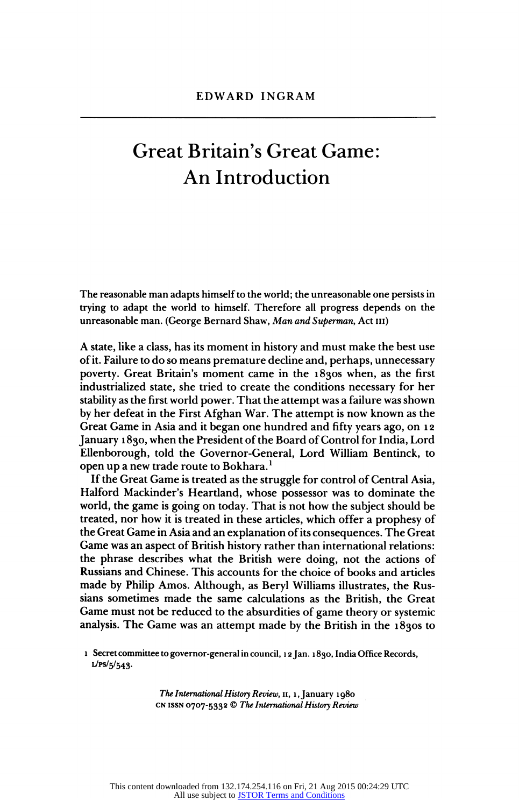# Great Britain's Great Game: An Introduction

The reasonable man adapts himself to the world; the unreasonable one persists in trying to adapt the world to himself. Therefore all progress depends on the unreasonable man. (George Bernard Shaw, Man and Superman, Act in)

A state, like a class, has its moment in history and must make the best use of it. Failure to do so means premature decline and, perhaps, unnecessary poverty. Great Britain's moment came in the 1830s when, as the first industrialized state, she tried to create the conditions necessary for her stability as the first world power. That the attempt was a failure was shown by her defeat in the First Afghan War. The attempt is now known as the Great Game in Asia and it began one hundred and fifty years ago, on 12 January 1830, when the President of the Board of Control for India, Lord Ellenborough, told the Governor-General, Lord William Bentinck, to open up a new trade route to Bokhara.<sup>1</sup>

If the Great Game is treated as the struggle for control of Central Asia, Halford Mackinder's Heartland, whose possessor was to dominate the world, the game is going on today. That is not how the subject should be treated, nor how it is treated in these articles, which offer a prophesy of the Great Game in Asia and an explanation of its consequences. The Great Game was an aspect of British history rather than international relations: the phrase describes what the British were doing, not the actions of Russians and Chinese. This accounts for the choice of books and articles made by Philip Amos. Although, as Beryl Williams illustrates, the Russians sometimes made the same calculations as the British, the Great Game must not be reduced to the absurdities of game theory or systemic analysis. The Game was an attempt made by the British in the 1830s to

The International History Review, II, 1, January 1980 cn issn 0707-5332 © The International History Review

<sup>1</sup> Secret committee to governor-general in council, 1 2 Jan. 1 830, India Office Records,  $LPS/5/543$ .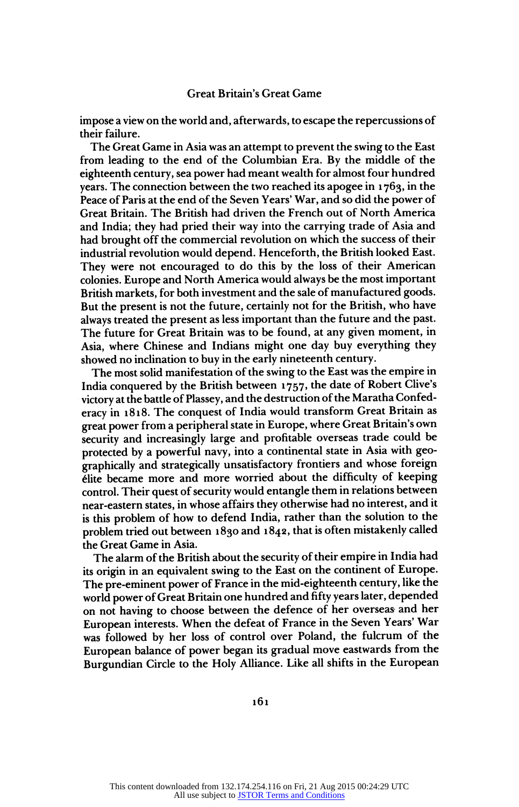impose a view on the world and, afterwards, to escape the repercussions of their failure.

The Great Game in Asia was an attempt to prevent the swing to the East from leading to the end of the Columbian Era. By the middle of the eighteenth century, sea power had meant wealth for almost four hundred years. The connection between the two reached its apogee in 1763, in the Peace of Paris at the end of the Seven Years' War, and so did the power of Great Britain. The British had driven the French out of North America and India; they had pried their way into the carrying trade of Asia and had brought off the commercial revolution on which the success of their industrial revolution would depend. Henceforth, the British looked East. They were not encouraged to do this by the loss of their American colonies. Europe and North America would always be the most important British markets, for both investment and the sale of manufactured goods. But the present is not the future, certainly not for the British, who have always treated the present as less important than the future and the past. The future for Great Britain was to be found, at any given moment, in Asia, where Chinese and Indians might one day buy everything they showed no inclination to buy in the early nineteenth century.

The most solid manifestation of the swing to the East was the empire in India conquered by the British between  $1757$ , the date of Robert Clive's victory at the battle of Plassey, and the destruction of the Maratha Confederacy in 1818. The conquest of India would transform Great Britain as great power from a peripheral state in Europe, where Great Britain's own security and increasingly large and profitable overseas trade could be protected by a powerful navy, into a continental state in Asia with geographically and strategically unsatisfactory frontiers and whose foreign 61ite became more and more worried about the difficulty of keeping control. Their quest of security would entangle them in relations between near-eastern states, in whose affairs they otherwise had no interest, and it is this problem of how to defend India, rather than the solution to the problem tried out between 1830 and 1842, that is often mistakenly called the Great Game in Asia.

The alarm of the British about the security of their empire in India had its origin in an equivalent swing to the East on the continent of Europe. The pre-eminent power of France in the mid-eighteenth century, like the world power of Great Britain one hundred and fifty years later, depended on not having to choose between the defence of her overseas and her European interests. When the defeat of France in the Seven Years' War was followed by her loss of control over Poland, the fulcrum of the European balance of power began its gradual move eastwards from the Burgundian Circle to the Holy Alliance. Like all shifts in the European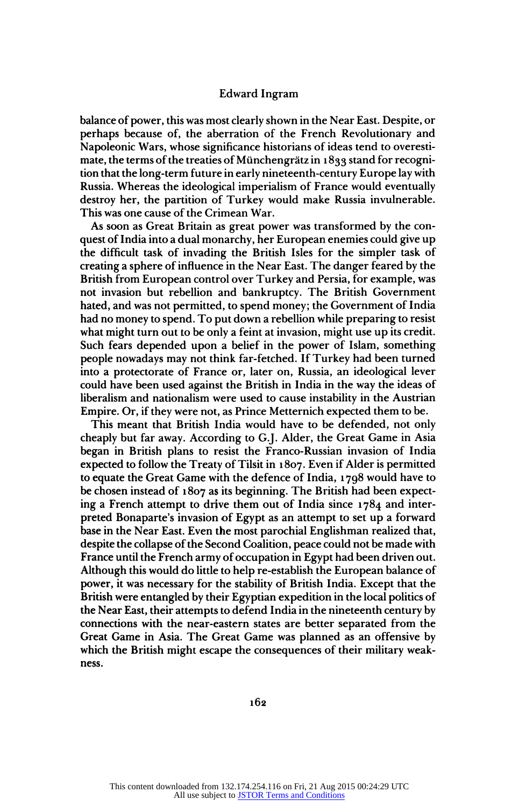balance of power, this was most clearly shown in the Near East. Despite, or perhaps because of, the aberration of the French Revolutionary and Napoleonic Wars, whose significance historians of ideas tend to overestimate, the terms of the treaties of Münchengrätz in 1833 stand for recognition that the long-term future in early nineteenth-century Europe lay with Russia. Whereas the ideological imperialism of France would eventually destroy her, the partition of Turkey would make Russia invulnerable. This was one cause of the Crimean War.

As soon as Great Britain as great power was transformed by the conquest of India into a dual monarchy, her European enemies could give up the difficult task of invading the British Isles for the simpler task of creating a sphere of influence in the Near East. The danger feared by the British from European control over Turkey and Persia, for example, was not invasion but rebellion and bankruptcy. The British Government hated, and was not permitted, to spend money; the Government of India had no money to spend. To put down a rebellion while preparing to resist what might turn out to be only a feint at invasion, might use up its credit. Such fears depended upon a belief in the power of Islam, something people nowadays may not think far-fetched. If Turkey had been turned into a protectorate of France or, later on, Russia, an ideological lever could have been used against the British in India in the way the ideas of liberalism and nationalism were used to cause instability in the Austrian Empire. Or, if they were not, as Prince Metternich expected them to be.

This meant that British India would have to be defended, not only cheaply but far away. According to G.J. Alder, the Great Game in Asia began in British plans to resist the Franco-Russian invasion of India expected to follow the Treaty of Tilsit in 1807. Even if Alder is permitted to equate the Great Game with the defence of India, 1798 would have to be chosen instead of 1807 as its beginning. The British had been expecting a French attempt to drive them out of India since 1784 and interpreted Bonaparte's invasion of Egypt as an attempt to set up a forward base in the Near East. Even the most parochial Englishman realized that, despite the collapse of the Second Coalition, peace could not be made with France until the French army of occupation in Egypt had been driven out. Although this would do little to help re-establish the European balance of power, it was necessary for the stability of British India. Except that the British were entangled by their Egyptian expedition in the local politics of the Near East, their attempts to defend India in the nineteenth century by connections with the near-eastern states are better separated from the Great Game in Asia. The Great Game was planned as an offensive by which the British might escape the consequences of their military weakness.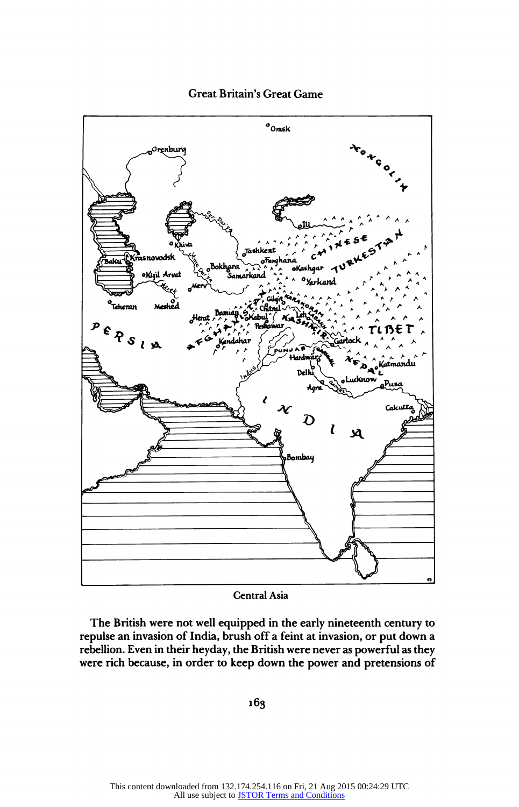

Central Asia

The British were not well equipped in the early nineteenth century to repulse an invasion of India, brush off a feint at invasion, or put down a rebellion. Even in their heyday, the British were never as powerful as they were rich because, in order to keep down the power and pretensions of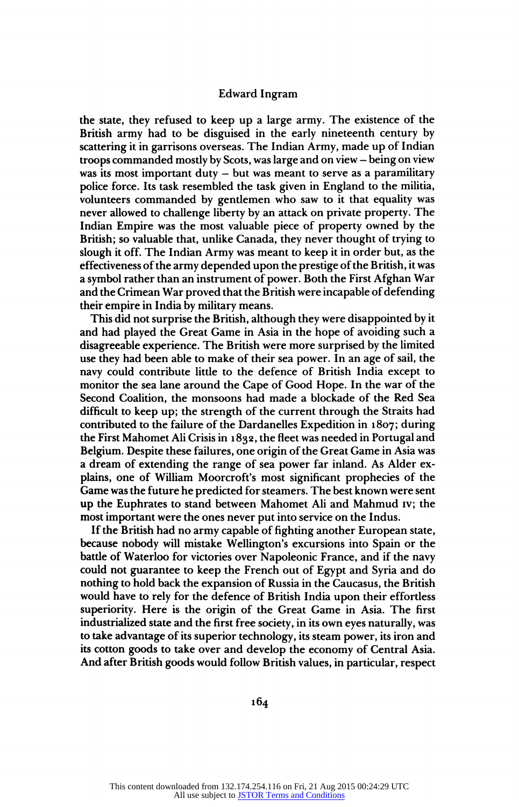## Edward Ingram

the state, they refused to keep up a large army. The existence of the British army had to be disguised in the early nineteenth century by scattering it in garrisons overseas. The Indian Army, made up of Indian troops commanded mostly by Scots, was large and on view - being on view was its most important  $divy - but$  was meant to serve as a paramilitary police force. Its task resembled the task given in England to the militia, volunteers commanded by gentlemen who saw to it that equality was never allowed to challenge liberty by an attack on private property. The Indian Empire was the most valuable piece of property owned by the British; so valuable that, unlike Canada, they never thought of trying to slough it off. The Indian Army was meant to keep it in order but, as the effectiveness of the army depended upon the prestige of the British, it was a symbol rather than an instrument of power. Both the First Afghan War and the Crimean War proved that the British were incapable of defending their empire in India by military means.

This did not surprise the British, although they were disappointed by it and had played the Great Game in Asia in the hope of avoiding such a disagreeable experience. The British were more surprised by the limited use they had been able to make of their sea power. In an age of sail, the navy could contribute little to the defence of British India except to monitor the sea lane around the Cape of Good Hope. In the war of the Second Coalition, the monsoons had made a blockade of the Red Sea difficult to keep up; the strength of the current through the Straits had contributed to the failure of the Dardanelles Expedition in 1807; during the First Mahomet Ali Crisis in 1832, the fleet was needed in Portugal and Belgium. Despite these failures, one origin of the Great Game in Asia was a dream of extending the range of sea power far inland. As Alder explains, one of William Moorcroft's most significant prophecies of the Game was the future he predicted for steamers. The best known were sent up the Euphrates to stand between Mahomet Ali and Mahmud iv; the most important were the ones never put into service on the Indus.

If the British had no army capable of fighting another European state, because nobody will mistake Wellington's excursions into Spain or the battle of Waterloo for victories over Napoleonic France, and if the navy could not guarantee to keep the French out of Egypt and Syria and do nothing to hold back the expansion of Russia in the Caucasus, the British would have to rely for the defence of British India upon their effortless superiority. Here is the origin of the Great Game in Asia. The first industrialized state and the first free society, in its own eyes naturally, was to take advantage of its superior technology, its steam power, its iron and its cotton goods to take over and develop the economy of Central Asia. And after British goods would follow British values, in particular, respect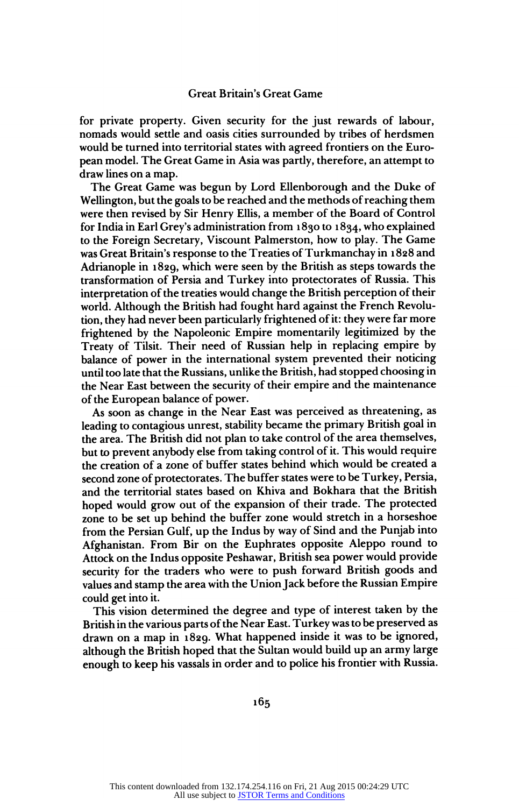for private property. Given security for the just rewards of labour, nomads would settle and oasis cities surrounded by tribes of herdsmen would be turned into territorial states with agreed frontiers on the European model. The Great Game in Asia was partly, therefore, an attempt to draw lines on a map.

The Great Game was begun by Lord Ellenborough and the Duke of Wellington, but the goals to be reached and the methods of reaching them were then revised by Sir Henry Ellis, a member of the Board of Control for India in Earl Grey's administration from 1830 to 1834, who explained to the Foreign Secretary, Viscount Palmerston, how to play. The Game was Great Britain's response to the Treaties of Turkmanchay in 1828 and Adrianople in 1829, which were seen by the British as steps towards the transformation of Persia and Turkey into protectorates of Russia. This interpretation of the treaties would change the British perception of their world. Although the British had fought hard against the French Revolution, they had never been particularly frightened of it: they were far more frightened by the Napoleonic Empire momentarily legitimized by the Treaty of Tilsit. Their need of Russian help in replacing empire by balance of power in the international system prevented their noticing until too late that the Russians, unlike the British, had stopped choosing in the Near East between the security of their empire and the maintenance of the European balance of power.

As soon as change in the Near East was perceived as threatening, as leading to contagious unrest, stability became the primary British goal in the area. The British did not plan to take control of the area themselves, but to prevent anybody else from taking control of it. This would require the creation of a zone of buffer states behind which would be created a second zone of protectorates. The buffer states were to be Turkey, Persia, and the territorial states based on Khiva and Bokhara that the British hoped would grow out of the expansion of their trade. The protected zone to be set up behind the buffer zone would stretch in a horseshoe from the Persian Gulf, up the Indus by way of Sind and the Punjab into Afghanistan. From Bir on the Euphrates opposite Aleppo round to Attock on the Indus opposite Peshawar, British sea power would provide security for the traders who were to push forward British goods and values and stamp the area with the Union Jack before the Russian Empire could get into it.

This vision determined the degree and type of interest taken by the British in the various parts of the Near East. Turkey was to be preserved as drawn on a map in 1829. What happened inside it was to be ignored, although the British hoped that the Sultan would build up an army large enough to keep his vassals in order and to police his frontier with Russia.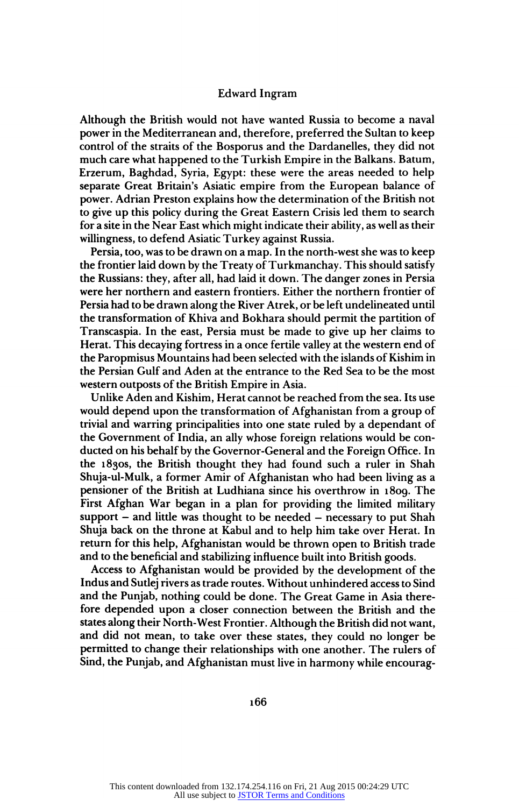## Edward Ingram

Although the British would not have wanted Russia to become a naval power in the Mediterranean and, therefore, preferred the Sultan to keep control of the straits of the Bosporus and the Dardanelles, they did not much care what happened to the Turkish Empire in the Balkans. Batum, Erzerum, Baghdad, Syria, Egypt: these were the areas needed to help separate Great Britain's Asiatic empire from the European balance of power. Adrian Preston explains how the determination of the British not to give up this policy during the Great Eastern Crisis led them to search for a site in the Near East which might indicate their ability, as well as their willingness, to defend Asiatic Turkey against Russia.

Persia, too, was to be drawn on a map. In the north-west she was to keep the frontier laid down by the Treaty of Turkmanchay. This should satisfy the Russians: they, after all, had laid it down. The danger zones in Persia were her northern and eastern frontiers. Either the northern frontier of Persia had to be drawn along the River Atrek, or be left undelineated until the transformation of Khiva and Bokhara should permit the partition of Transcaspia. In the east, Persia must be made to give up her claims to Herat. This decaying fortress in a once fertile valley at the western end of the Paropmisus Mountains had been selected with the islands of Kishim in the Persian Gulf and Aden at the entrance to the Red Sea to be the most western outposts of the British Empire in Asia.

Unlike Aden and Kishim, Herat cannot be reached from the sea. Its use would depend upon the transformation of Afghanistan from a group of trivial and warring principalities into one state ruled by a dependant of the Government of India, an ally whose foreign relations would be conducted on his behalf by the Governor-General and the Foreign Office. In the 1830s, the British thought they had found such a ruler in Shah Shuja-ul-Mulk, a former Amir of Afghanistan who had been living as a pensioner of the British at Ludhiana since his overthrow in 1809. The First Afghan War began in a plan for providing the limited military support  $-$  and little was thought to be needed  $-$  necessary to put Shah Shuja back on the throne at Kabul and to help him take over Herat. In return for this help, Afghanistan would be thrown open to British trade and to the beneficial and stabilizing influence built into British goods.

Access to Afghanistan would be provided by the development of the Indus and Sutlej rivers as trade routes. Without unhindered access to Sind and the Punjab, nothing could be done. The Great Game in Asia therefore depended upon a closer connection between the British and the states along their North- West Frontier. Although the British did not want, and did not mean, to take over these states, they could no longer be permitted to change their relationships with one another. The rulers of Sind, the Punjab, and Afghanistan must live in harmony while encourag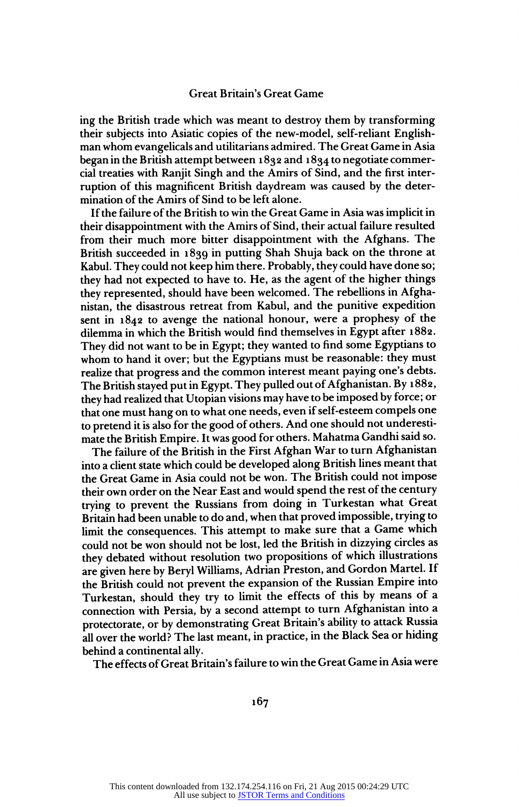ing the British trade which was meant to destroy them by transforming their subjects into Asiatic copies of the new-model, self-reliant Englishman whom evangelicals and utilitarians admired. The Great Game in Asia began in the British attempt between 1832 and 1834 to negotiate commercial treaties with Ranjit Singh and the Amirs of Sind, and the first interruption of this magnificent British daydream was caused by the determination of the Amirs of Sind to be left alone.

If the failure of the British to win the Great Game in Asia was implicit in their disappointment with the Amirs of Sind, their actual failure resulted from their much more bitter disappointment with the Afghans. The British succeeded in 1839 in putting Shah Shuja back on the throne at Kabul. They could not keep him there. Probably, they could have done so; they had not expected to have to. He, as the agent of the higher things they represented, should have been welcomed. The rebellions in Afghanistan, the disastrous retreat from Kabul, and the punitive expedition sent in 1842 to avenge the national honour, were a prophesy of the dilemma in which the British would find themselves in Egypt after 1882. They did not want to be in Egypt; they wanted to find some Egyptians to whom to hand it over; but the Egyptians must be reasonable: they must realize that progress and the common interest meant paying one's debts. The British stayed put in Egypt. They pulled out of Afghanistan. By 1882, they had realized that Utopian visions may have to be imposed by force; or that one must hang on to what one needs, even if self-esteem compels one to pretend it is also for the good of others. And one should not underestimate the British Empire. It was good for others. Mahatma Gandhi said so.

The failure of the British in the First Afghan War to turn Afghanistan into a client state which could be developed along British lines meant that the Great Game in Asia could not be won. The British could not impose their own order on the Near East and would spend the rest of the century trying to prevent the Russians from doing in Turkestan what Great Britain had been unable to do and, when that proved impossible, trying to limit the consequences. This attempt to make sure that a Game which could not be won should not be lost, led the British in dizzying circles as they debated without resolution two propositions of which illustrations are given here by Beryl Williams, Adrian Preston, and Gordon Martel. If the British could not prevent the expansion of the Russian Empire into Turkestan, should they try to limit the effects of this by means of a connection with Persia, by a second attempt to turn Afghanistan into a protectorate, or by demonstrating Great Britain's ability to attack Russia all over the world? The last meant, in practice, in the Black Sea or hiding behind a continental ally.

The effects of Great Britain's failure to win the Great Game in Asia were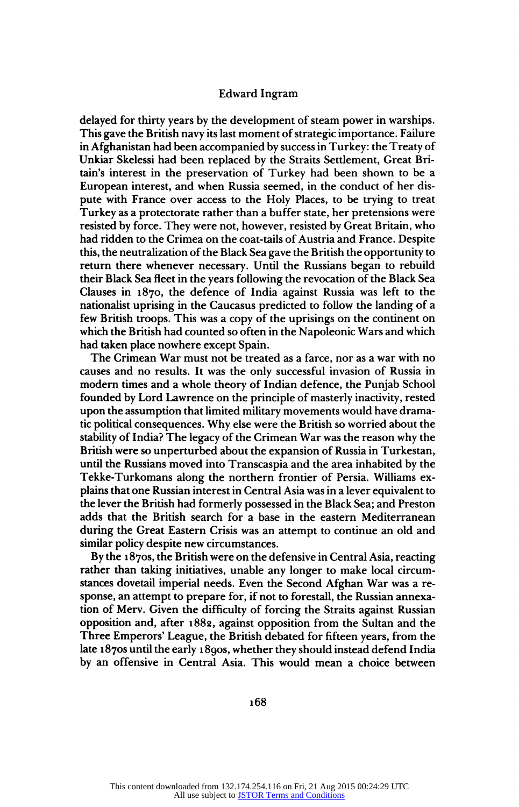# Edward Ingram

delayed for thirty years by the development of steam power in warships. This gave the British navy its last moment of strategic importance. Failure in Afghanistan had been accompanied by success in Turkey: the Treaty of Unkiar Skelessi had been replaced by the Straits Settlement, Great Britain's interest in the preservation of Turkey had been shown to be a European interest, and when Russia seemed, in the conduct of her dispute with France over access to the Holy Places, to be trying to treat Turkey as a protectorate rather than a buffer state, her pretensions were resisted by force. They were not, however, resisted by Great Britain, who had ridden to the Crimea on the coat-tails of Austria and France. Despite this, the neutralization of the Black Sea gave the British the opportunity to return there whenever necessary. Until the Russians began to rebuild their Black Sea fleet in the years following the revocation of the Black Sea Clauses in 1870, the defence of India against Russia was left to the nationalist uprising in the Caucasus predicted to follow the landing of a few British troops. This was a copy of the uprisings on the continent on which the British had counted so often in the Napoleonic Wars and which had taken place nowhere except Spain.

The Crimean War must not be treated as a farce, nor as a war with no causes and no results. It was the only successful invasion of Russia in modern times and a whole theory of Indian defence, the Punjab School founded by Lord Lawrence on the principle of masterly inactivity, rested upon the assumption that limited military movements would have dramatic political consequences. Why else were the British so worried about the stability of India? The legacy of the Crimean War was the reason why the British were so unperturbed about the expansion of Russia in Turkestan, until the Russians moved into Transcaspia and the area inhabited by the Tekke-Turkomans along the northern frontier of Persia. Williams explains that one Russian interest in Central Asia was in a lever equivalent to the lever the British had formerly possessed in the Black Sea; and Preston adds that the British search for a base in the eastern Mediterranean during the Great Eastern Crisis was an attempt to continue an old and similar policy despite new circumstances.

By the 1870s, the British were on the defensive in Central Asia, reacting rather than taking initiatives, unable any longer to make local circumstances dovetail imperial needs. Even the Second Afghan War was a response, an attempt to prepare for, if not to forestall, the Russian annexation of Merv. Given the difficulty of forcing the Straits against Russian opposition and, after 1882, against opposition from the Sultan and the Three Emperors' League, the British debated for fifteen years, from the late 1870s until the early 1890s, whether they should instead defend India by an offensive in Central Asia. This would mean a choice between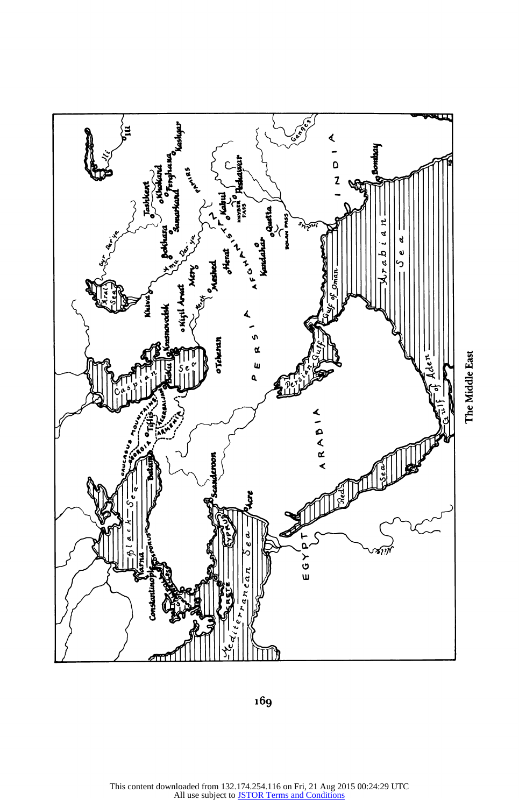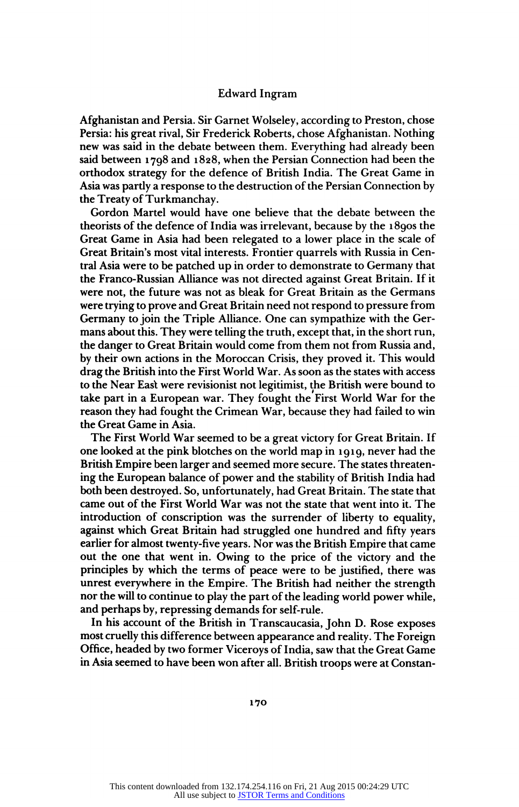Afghanistan and Persia. Sir Garnet Wolseley, according to Preston, chose Persia: his great rival, Sir Frederick Roberts, chose Afghanistan. Nothing new was said in the debate between them. Everything had already been said between 1798 and 1828, when the Persian Connection had been the orthodox strategy for the defence of British India. The Great Game in Asia was partly a response to the destruction of the Persian Connection by the Treaty of Turkmanchay.

Gordon Martel would have one believe that the debate between the theorists of the defence of India was irrelevant, because by the 1890s the Great Game in Asia had been relegated to a lower place in the scale of Great Britain's most vital interests. Frontier quarrels with Russia in Central Asia were to be patched up in order to demonstrate to Germany that the Franco-Russian Alliance was not directed against Great Britain. If it were not, the future was not as bleak for Great Britain as the Germans were trying to prove and Great Britain need not respond to pressure from Germany to join the Triple Alliance. One can sympathize with the Germans about this. They were telling the truth, except that, in the short run, the danger to Great Britain would come from them not from Russia and, by their own actions in the Moroccan Crisis, they proved it. This would drag the British into the First World War. As soon as the states with access to the Near East were revisionist not legitimist, the British were bound to take part in a European war. They fought the First World War for the reason they had fought the Crimean War, because they had failed to win the Great Game in Asia.

The First World War seemed to be a great victory for Great Britain. If one looked at the pink blotches on the world map in 1919, never had the British Empire been larger and seemed more secure. The states threatening the European balance of power and the stability of British India had both been destroyed. So, unfortunately, had Great Britain. The state that came out of the First World War was not the state that went into it. The introduction of conscription was the surrender of liberty to equality, against which Great Britain had struggled one hundred and fifty years earlier for almost twenty-five years. Nor was the British Empire that came out the one that went in. Owing to the price of the victory and the principles by which the terms of peace were to be justified, there was unrest everywhere in the Empire. The British had neither the strength nor the will to continue to play the part of the leading world power while, and perhaps by, repressing demands for self-rule.

In his account of the British in Transcaucasia, John D. Rose exposes most cruelly this difference between appearance and reality. The Foreign Office, headed by two former Viceroys of India, saw that the Great Game in Asia seemed to have been won after all. British troops were at Constan-